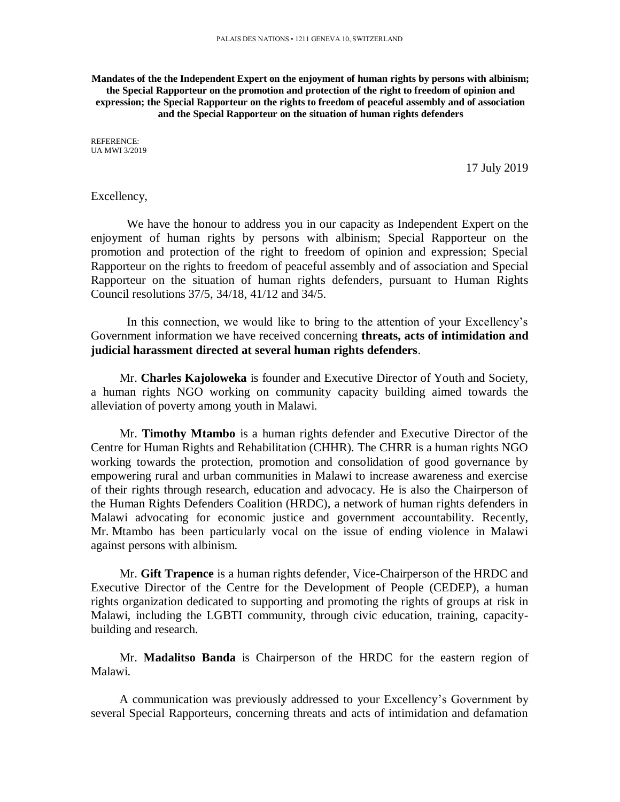**Mandates of the the Independent Expert on the enjoyment of human rights by persons with albinism; the Special Rapporteur on the promotion and protection of the right to freedom of opinion and expression; the Special Rapporteur on the rights to freedom of peaceful assembly and of association and the Special Rapporteur on the situation of human rights defenders**

REFERENCE: UA MWI 3/2019

17 July 2019

Excellency,

We have the honour to address you in our capacity as Independent Expert on the enjoyment of human rights by persons with albinism; Special Rapporteur on the promotion and protection of the right to freedom of opinion and expression; Special Rapporteur on the rights to freedom of peaceful assembly and of association and Special Rapporteur on the situation of human rights defenders, pursuant to Human Rights Council resolutions 37/5, 34/18, 41/12 and 34/5.

In this connection, we would like to bring to the attention of your Excellency's Government information we have received concerning **threats, acts of intimidation and judicial harassment directed at several human rights defenders**.

Mr. **Charles Kajoloweka** is founder and Executive Director of Youth and Society, a human rights NGO working on community capacity building aimed towards the alleviation of poverty among youth in Malawi.

Mr. **Timothy Mtambo** is a human rights defender and Executive Director of the Centre for Human Rights and Rehabilitation (CHHR). The CHRR is a human rights NGO working towards the protection, promotion and consolidation of good governance by empowering rural and urban communities in Malawi to increase awareness and exercise of their rights through research, education and advocacy. He is also the Chairperson of the Human Rights Defenders Coalition (HRDC), a network of human rights defenders in Malawi advocating for economic justice and government accountability. Recently, Mr. Mtambo has been particularly vocal on the issue of ending violence in Malawi against persons with albinism.

Mr. **Gift Trapence** is a human rights defender, Vice-Chairperson of the HRDC and Executive Director of the Centre for the Development of People (CEDEP), a human rights organization dedicated to supporting and promoting the rights of groups at risk in Malawi, including the LGBTI community, through civic education, training, capacitybuilding and research.

Mr. **Madalitso Banda** is Chairperson of the HRDC for the eastern region of Malawi.

A communication was previously addressed to your Excellency's Government by several Special Rapporteurs, concerning threats and acts of intimidation and defamation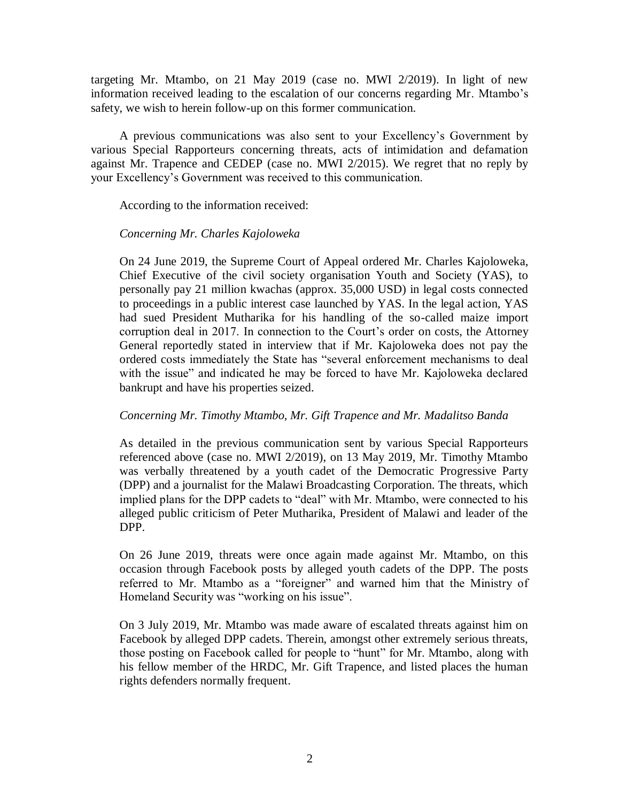targeting Mr. Mtambo, on 21 May 2019 (case no. MWI 2/2019). In light of new information received leading to the escalation of our concerns regarding Mr. Mtambo's safety, we wish to herein follow-up on this former communication.

A previous communications was also sent to your Excellency's Government by various Special Rapporteurs concerning threats, acts of intimidation and defamation against Mr. Trapence and CEDEP (case no. MWI 2/2015). We regret that no reply by your Excellency's Government was received to this communication.

According to the information received:

## *Concerning Mr. Charles Kajoloweka*

On 24 June 2019, the Supreme Court of Appeal ordered Mr. Charles Kajoloweka, Chief Executive of the civil society organisation Youth and Society (YAS), to personally pay 21 million kwachas (approx. 35,000 USD) in legal costs connected to proceedings in a public interest case launched by YAS. In the legal action, YAS had sued President Mutharika for his handling of the so-called maize import corruption deal in 2017. In connection to the Court's order on costs, the Attorney General reportedly stated in interview that if Mr. Kajoloweka does not pay the ordered costs immediately the State has "several enforcement mechanisms to deal with the issue" and indicated he may be forced to have Mr. Kajoloweka declared bankrupt and have his properties seized.

## *Concerning Mr. Timothy Mtambo, Mr. Gift Trapence and Mr. Madalitso Banda*

As detailed in the previous communication sent by various Special Rapporteurs referenced above (case no. MWI 2/2019), on 13 May 2019, Mr. Timothy Mtambo was verbally threatened by a youth cadet of the Democratic Progressive Party (DPP) and a journalist for the Malawi Broadcasting Corporation. The threats, which implied plans for the DPP cadets to "deal" with Mr. Mtambo, were connected to his alleged public criticism of Peter Mutharika, President of Malawi and leader of the DPP.

On 26 June 2019, threats were once again made against Mr. Mtambo, on this occasion through Facebook posts by alleged youth cadets of the DPP. The posts referred to Mr. Mtambo as a "foreigner" and warned him that the Ministry of Homeland Security was "working on his issue".

On 3 July 2019, Mr. Mtambo was made aware of escalated threats against him on Facebook by alleged DPP cadets. Therein, amongst other extremely serious threats, those posting on Facebook called for people to "hunt" for Mr. Mtambo, along with his fellow member of the HRDC, Mr. Gift Trapence, and listed places the human rights defenders normally frequent.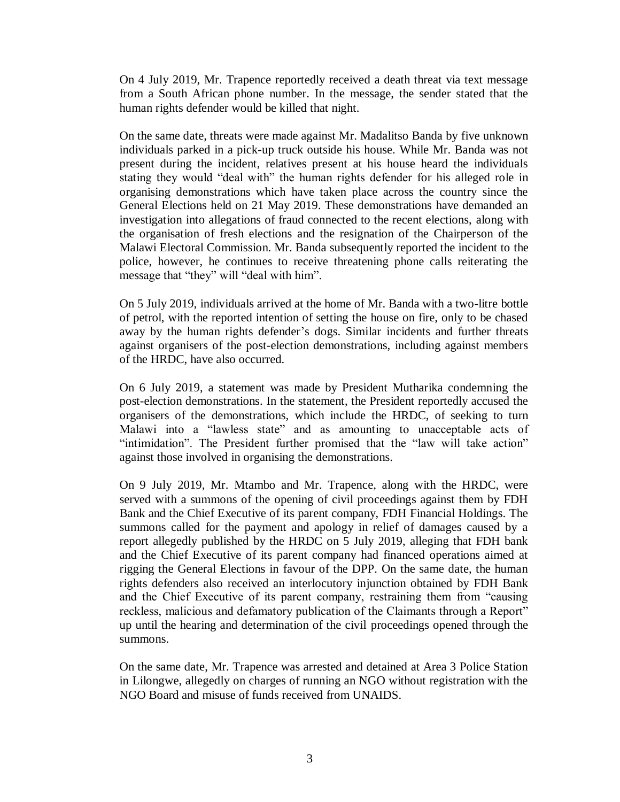On 4 July 2019, Mr. Trapence reportedly received a death threat via text message from a South African phone number. In the message, the sender stated that the human rights defender would be killed that night.

On the same date, threats were made against Mr. Madalitso Banda by five unknown individuals parked in a pick-up truck outside his house. While Mr. Banda was not present during the incident, relatives present at his house heard the individuals stating they would "deal with" the human rights defender for his alleged role in organising demonstrations which have taken place across the country since the General Elections held on 21 May 2019. These demonstrations have demanded an investigation into allegations of fraud connected to the recent elections, along with the organisation of fresh elections and the resignation of the Chairperson of the Malawi Electoral Commission. Mr. Banda subsequently reported the incident to the police, however, he continues to receive threatening phone calls reiterating the message that "they" will "deal with him".

On 5 July 2019, individuals arrived at the home of Mr. Banda with a two-litre bottle of petrol, with the reported intention of setting the house on fire, only to be chased away by the human rights defender's dogs. Similar incidents and further threats against organisers of the post-election demonstrations, including against members of the HRDC, have also occurred.

On 6 July 2019, a statement was made by President Mutharika condemning the post-election demonstrations. In the statement, the President reportedly accused the organisers of the demonstrations, which include the HRDC, of seeking to turn Malawi into a "lawless state" and as amounting to unacceptable acts of "intimidation". The President further promised that the "law will take action" against those involved in organising the demonstrations.

On 9 July 2019, Mr. Mtambo and Mr. Trapence, along with the HRDC, were served with a summons of the opening of civil proceedings against them by FDH Bank and the Chief Executive of its parent company, FDH Financial Holdings. The summons called for the payment and apology in relief of damages caused by a report allegedly published by the HRDC on 5 July 2019, alleging that FDH bank and the Chief Executive of its parent company had financed operations aimed at rigging the General Elections in favour of the DPP. On the same date, the human rights defenders also received an interlocutory injunction obtained by FDH Bank and the Chief Executive of its parent company, restraining them from "causing reckless, malicious and defamatory publication of the Claimants through a Report" up until the hearing and determination of the civil proceedings opened through the summons.

On the same date, Mr. Trapence was arrested and detained at Area 3 Police Station in Lilongwe, allegedly on charges of running an NGO without registration with the NGO Board and misuse of funds received from UNAIDS.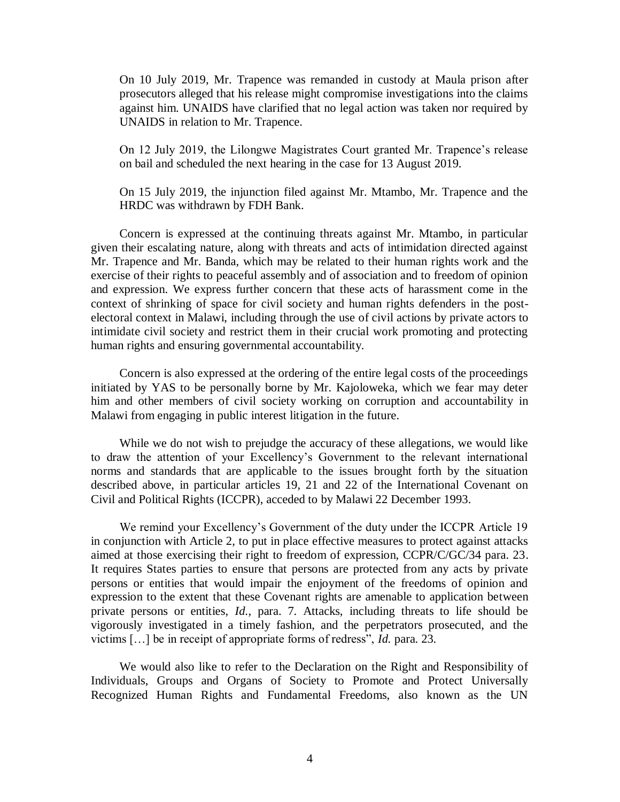On 10 July 2019, Mr. Trapence was remanded in custody at Maula prison after prosecutors alleged that his release might compromise investigations into the claims against him. UNAIDS have clarified that no legal action was taken nor required by UNAIDS in relation to Mr. Trapence.

On 12 July 2019, the Lilongwe Magistrates Court granted Mr. Trapence's release on bail and scheduled the next hearing in the case for 13 August 2019.

On 15 July 2019, the injunction filed against Mr. Mtambo, Mr. Trapence and the HRDC was withdrawn by FDH Bank.

Concern is expressed at the continuing threats against Mr. Mtambo, in particular given their escalating nature, along with threats and acts of intimidation directed against Mr. Trapence and Mr. Banda, which may be related to their human rights work and the exercise of their rights to peaceful assembly and of association and to freedom of opinion and expression. We express further concern that these acts of harassment come in the context of shrinking of space for civil society and human rights defenders in the postelectoral context in Malawi, including through the use of civil actions by private actors to intimidate civil society and restrict them in their crucial work promoting and protecting human rights and ensuring governmental accountability.

Concern is also expressed at the ordering of the entire legal costs of the proceedings initiated by YAS to be personally borne by Mr. Kajoloweka, which we fear may deter him and other members of civil society working on corruption and accountability in Malawi from engaging in public interest litigation in the future.

While we do not wish to prejudge the accuracy of these allegations, we would like to draw the attention of your Excellency's Government to the relevant international norms and standards that are applicable to the issues brought forth by the situation described above, in particular articles 19, 21 and 22 of the International Covenant on Civil and Political Rights (ICCPR), acceded to by Malawi 22 December 1993.

We remind your Excellency's Government of the duty under the ICCPR Article 19 in conjunction with Article 2, to put in place effective measures to protect against attacks aimed at those exercising their right to freedom of expression, CCPR/C/GC/34 para. 23. It requires States parties to ensure that persons are protected from any acts by private persons or entities that would impair the enjoyment of the freedoms of opinion and expression to the extent that these Covenant rights are amenable to application between private persons or entities, *Id.*, para. 7. Attacks, including threats to life should be vigorously investigated in a timely fashion, and the perpetrators prosecuted, and the victims […] be in receipt of appropriate forms of redress", *Id.* para. 23.

We would also like to refer to the Declaration on the Right and Responsibility of Individuals, Groups and Organs of Society to Promote and Protect Universally Recognized Human Rights and Fundamental Freedoms, also known as the UN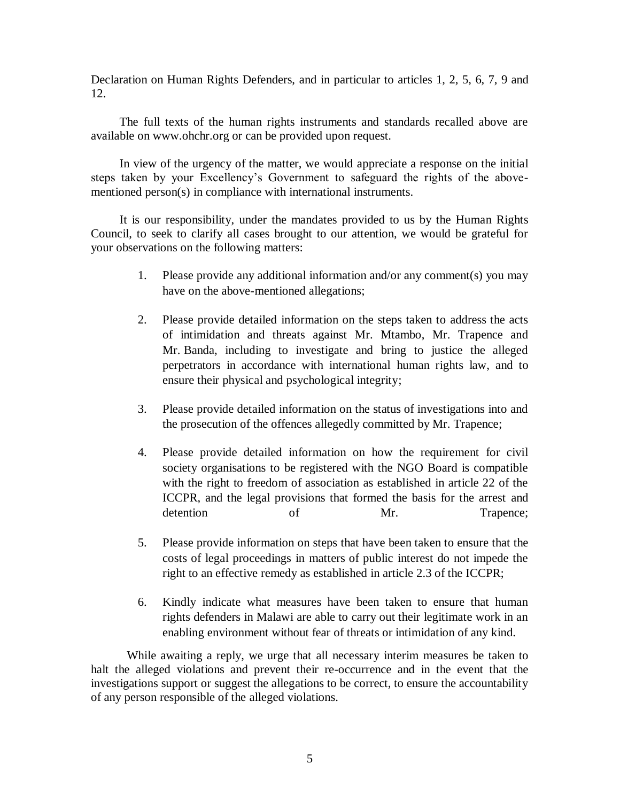Declaration on Human Rights Defenders, and in particular to articles 1, 2, 5, 6, 7, 9 and 12.

The full texts of the human rights instruments and standards recalled above are available on www.ohchr.org or can be provided upon request.

In view of the urgency of the matter, we would appreciate a response on the initial steps taken by your Excellency's Government to safeguard the rights of the abovementioned person(s) in compliance with international instruments.

It is our responsibility, under the mandates provided to us by the Human Rights Council, to seek to clarify all cases brought to our attention, we would be grateful for your observations on the following matters:

- 1. Please provide any additional information and/or any comment(s) you may have on the above-mentioned allegations;
- 2. Please provide detailed information on the steps taken to address the acts of intimidation and threats against Mr. Mtambo, Mr. Trapence and Mr. Banda, including to investigate and bring to justice the alleged perpetrators in accordance with international human rights law, and to ensure their physical and psychological integrity;
- 3. Please provide detailed information on the status of investigations into and the prosecution of the offences allegedly committed by Mr. Trapence;
- 4. Please provide detailed information on how the requirement for civil society organisations to be registered with the NGO Board is compatible with the right to freedom of association as established in article 22 of the ICCPR, and the legal provisions that formed the basis for the arrest and detention of Mr. Trapence;
- 5. Please provide information on steps that have been taken to ensure that the costs of legal proceedings in matters of public interest do not impede the right to an effective remedy as established in article 2.3 of the ICCPR;
- 6. Kindly indicate what measures have been taken to ensure that human rights defenders in Malawi are able to carry out their legitimate work in an enabling environment without fear of threats or intimidation of any kind.

While awaiting a reply, we urge that all necessary interim measures be taken to halt the alleged violations and prevent their re-occurrence and in the event that the investigations support or suggest the allegations to be correct, to ensure the accountability of any person responsible of the alleged violations.